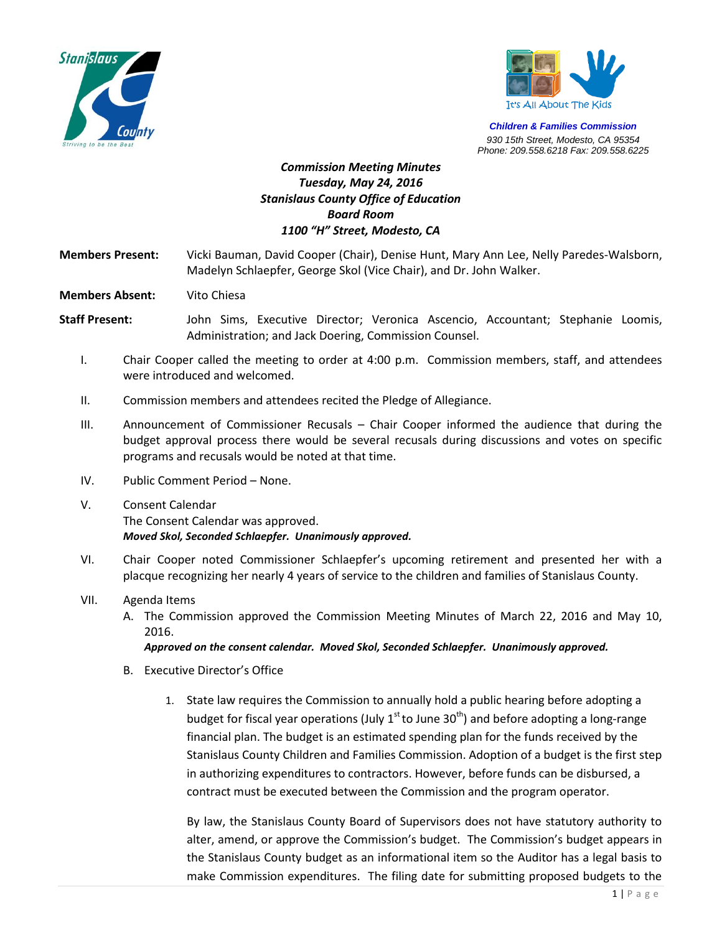



*Children & Families Commission 930 15th Street, Modesto, CA 95354 Phone: 209.558.6218 Fax: 209.558.6225*

## *Commission Meeting Minutes Tuesday, May 24, 2016 Stanislaus County Office of Education Board Room 1100 "H" Street, Modesto, CA*

**Members Present:** Vicki Bauman, David Cooper (Chair), Denise Hunt, Mary Ann Lee, Nelly Paredes-Walsborn, Madelyn Schlaepfer, George Skol (Vice Chair), and Dr. John Walker.

**Members Absent:** Vito Chiesa

**Staff Present:** John Sims, Executive Director; Veronica Ascencio, Accountant; Stephanie Loomis, Administration; and Jack Doering, Commission Counsel.

- I. Chair Cooper called the meeting to order at 4:00 p.m. Commission members, staff, and attendees were introduced and welcomed.
- II. Commission members and attendees recited the Pledge of Allegiance.
- III. Announcement of Commissioner Recusals Chair Cooper informed the audience that during the budget approval process there would be several recusals during discussions and votes on specific programs and recusals would be noted at that time.
- IV. Public Comment Period None.
- V. Consent Calendar The Consent Calendar was approved. *Moved Skol, Seconded Schlaepfer. Unanimously approved.*
- VI. Chair Cooper noted Commissioner Schlaepfer's upcoming retirement and presented her with a placque recognizing her nearly 4 years of service to the children and families of Stanislaus County.
- VII. Agenda Items
	- A. The Commission approved the Commission Meeting Minutes of March 22, 2016 and May 10, 2016.

*Approved on the consent calendar. Moved Skol, Seconded Schlaepfer. Unanimously approved.*

- B. Executive Director's Office
	- 1. State law requires the Commission to annually hold a public hearing before adopting a budget for fiscal year operations (July  $1^{st}$  to June 30<sup>th</sup>) and before adopting a long-range financial plan. The budget is an estimated spending plan for the funds received by the Stanislaus County Children and Families Commission. Adoption of a budget is the first step in authorizing expenditures to contractors. However, before funds can be disbursed, a contract must be executed between the Commission and the program operator.

By law, the Stanislaus County Board of Supervisors does not have statutory authority to alter, amend, or approve the Commission's budget. The Commission's budget appears in the Stanislaus County budget as an informational item so the Auditor has a legal basis to make Commission expenditures. The filing date for submitting proposed budgets to the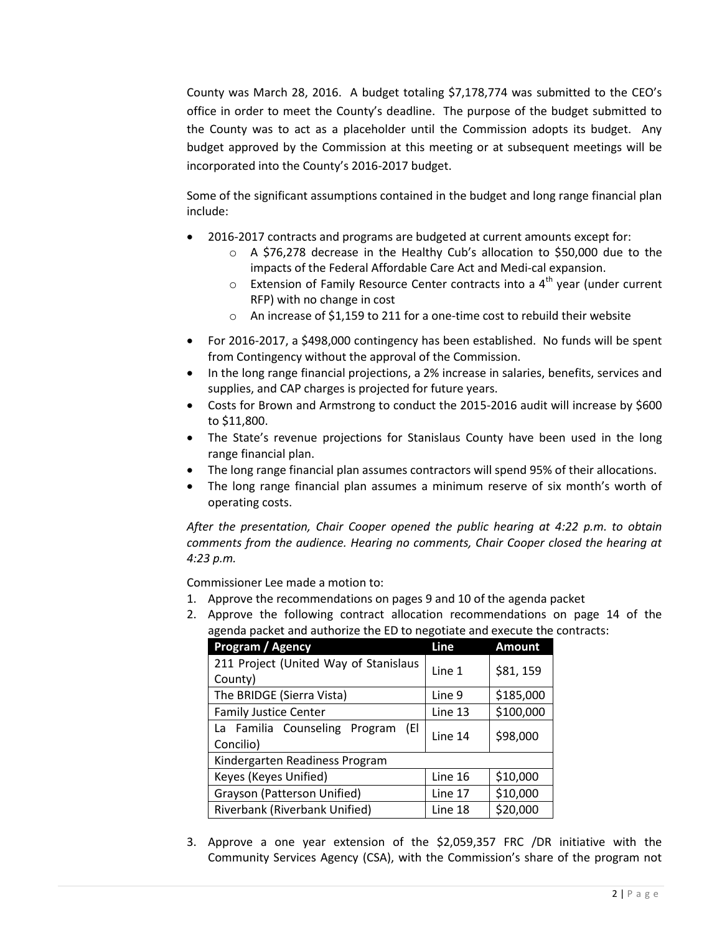County was March 28, 2016. A budget totaling \$7,178,774 was submitted to the CEO's office in order to meet the County's deadline. The purpose of the budget submitted to the County was to act as a placeholder until the Commission adopts its budget. Any budget approved by the Commission at this meeting or at subsequent meetings will be incorporated into the County's 2016-2017 budget.

Some of the significant assumptions contained in the budget and long range financial plan include:

- 2016-2017 contracts and programs are budgeted at current amounts except for:
	- o A \$76,278 decrease in the Healthy Cub's allocation to \$50,000 due to the impacts of the Federal Affordable Care Act and Medi-cal expansion.
	- $\circ$  Extension of Family Resource Center contracts into a 4<sup>th</sup> year (under current RFP) with no change in cost
	- o An increase of \$1,159 to 211 for a one-time cost to rebuild their website
- For 2016-2017, a \$498,000 contingency has been established. No funds will be spent from Contingency without the approval of the Commission.
- In the long range financial projections, a 2% increase in salaries, benefits, services and supplies, and CAP charges is projected for future years.
- Costs for Brown and Armstrong to conduct the 2015-2016 audit will increase by \$600 to \$11,800.
- The State's revenue projections for Stanislaus County have been used in the long range financial plan.
- The long range financial plan assumes contractors will spend 95% of their allocations.
- The long range financial plan assumes a minimum reserve of six month's worth of operating costs.

*After the presentation, Chair Cooper opened the public hearing at 4:22 p.m. to obtain comments from the audience. Hearing no comments, Chair Cooper closed the hearing at 4:23 p.m.*

Commissioner Lee made a motion to:

- 1. Approve the recommendations on pages 9 and 10 of the agenda packet
- 2. Approve the following contract allocation recommendations on page 14 of the agenda packet and authorize the ED to negotiate and execute the contracts:

| Program / Agency                      | Line    | <b>Amount</b> |
|---------------------------------------|---------|---------------|
| 211 Project (United Way of Stanislaus | Line 1  | \$81, 159     |
| County)                               |         |               |
| The BRIDGE (Sierra Vista)             | Line 9  | \$185,000     |
| <b>Family Justice Center</b>          | Line 13 | \$100,000     |
| La Familia Counseling Program<br>(El  | Line 14 | \$98,000      |
| Concilio)                             |         |               |
| Kindergarten Readiness Program        |         |               |
| Keyes (Keyes Unified)                 | Line 16 | \$10,000      |
| Grayson (Patterson Unified)           | Line 17 | \$10,000      |
| Riverbank (Riverbank Unified)         | Line 18 | \$20,000      |

3. Approve a one year extension of the \$2,059,357 FRC /DR initiative with the Community Services Agency (CSA), with the Commission's share of the program not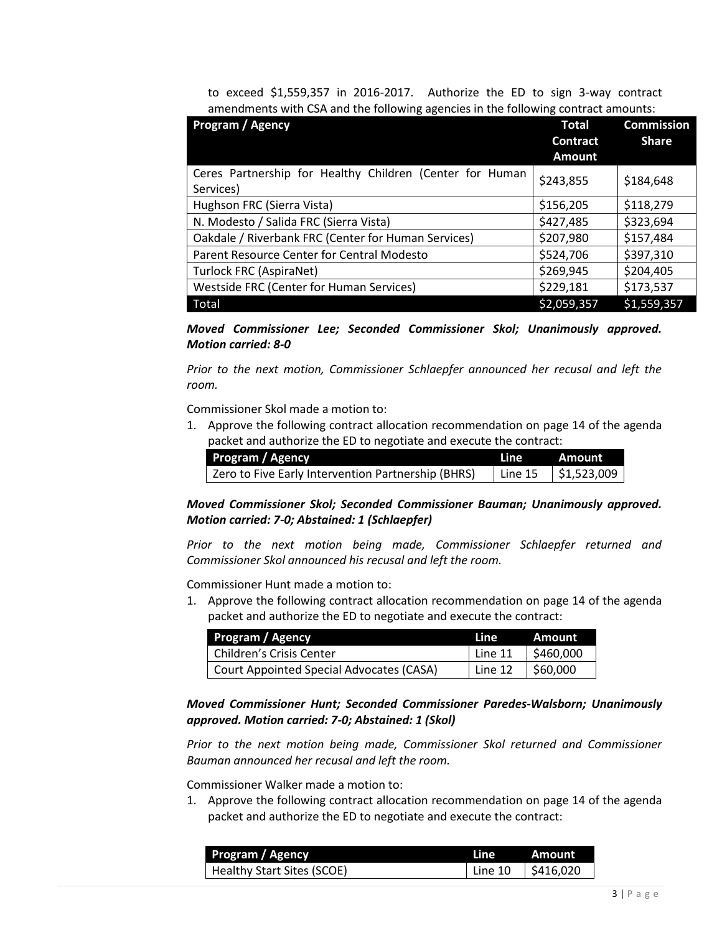to exceed \$1,559,357 in 2016-2017. Authorize the ED to sign 3-way contract amendments with CSA and the following agencies in the following contract amounts:

| Program / Agency                                                      | <b>Total</b><br><b>Contract</b><br><b>Amount</b> | <b>Commission</b><br><b>Share</b> |
|-----------------------------------------------------------------------|--------------------------------------------------|-----------------------------------|
| Ceres Partnership for Healthy Children (Center for Human<br>Services) | \$243,855                                        | \$184,648                         |
| Hughson FRC (Sierra Vista)                                            | \$156,205                                        | \$118,279                         |
| N. Modesto / Salida FRC (Sierra Vista)                                | \$427,485                                        | \$323,694                         |
| Oakdale / Riverbank FRC (Center for Human Services)                   | \$207,980                                        | \$157,484                         |
| Parent Resource Center for Central Modesto                            | \$524,706                                        | \$397,310                         |
| Turlock FRC (AspiraNet)                                               | \$269,945                                        | \$204,405                         |
| Westside FRC (Center for Human Services)                              | \$229,181                                        | \$173,537                         |
| Total                                                                 | \$2,059,357                                      | \$1,559,357                       |

*Moved Commissioner Lee; Seconded Commissioner Skol; Unanimously approved. Motion carried: 8-0*

*Prior to the next motion, Commissioner Schlaepfer announced her recusal and left the room.*

Commissioner Skol made a motion to:

1. Approve the following contract allocation recommendation on page 14 of the agenda packet and authorize the ED to negotiate and execute the contract:

| Program / Agency                                   | <b>Line</b> | . Amount                  |
|----------------------------------------------------|-------------|---------------------------|
| Zero to Five Early Intervention Partnership (BHRS) | Line 15     | $\frac{1}{2}$ \$1,523,009 |

*Moved Commissioner Skol; Seconded Commissioner Bauman; Unanimously approved. Motion carried: 7-0; Abstained: 1 (Schlaepfer)*

*Prior to the next motion being made, Commissioner Schlaepfer returned and Commissioner Skol announced his recusal and left the room.*

Commissioner Hunt made a motion to:

1. Approve the following contract allocation recommendation on page 14 of the agenda packet and authorize the ED to negotiate and execute the contract:

| Program / Agency                         | Line    | Amount    |
|------------------------------------------|---------|-----------|
| Children's Crisis Center                 | Line 11 | \$460,000 |
| Court Appointed Special Advocates (CASA) | Line 12 | \$60,000  |

*Moved Commissioner Hunt; Seconded Commissioner Paredes-Walsborn; Unanimously approved. Motion carried: 7-0; Abstained: 1 (Skol)*

*Prior to the next motion being made, Commissioner Skol returned and Commissioner Bauman announced her recusal and left the room.*

Commissioner Walker made a motion to:

1. Approve the following contract allocation recommendation on page 14 of the agenda packet and authorize the ED to negotiate and execute the contract:

| <b>Program / Agency</b>    | Line    | Amount    |
|----------------------------|---------|-----------|
| Healthy Start Sites (SCOE) | Line 10 | \$416,020 |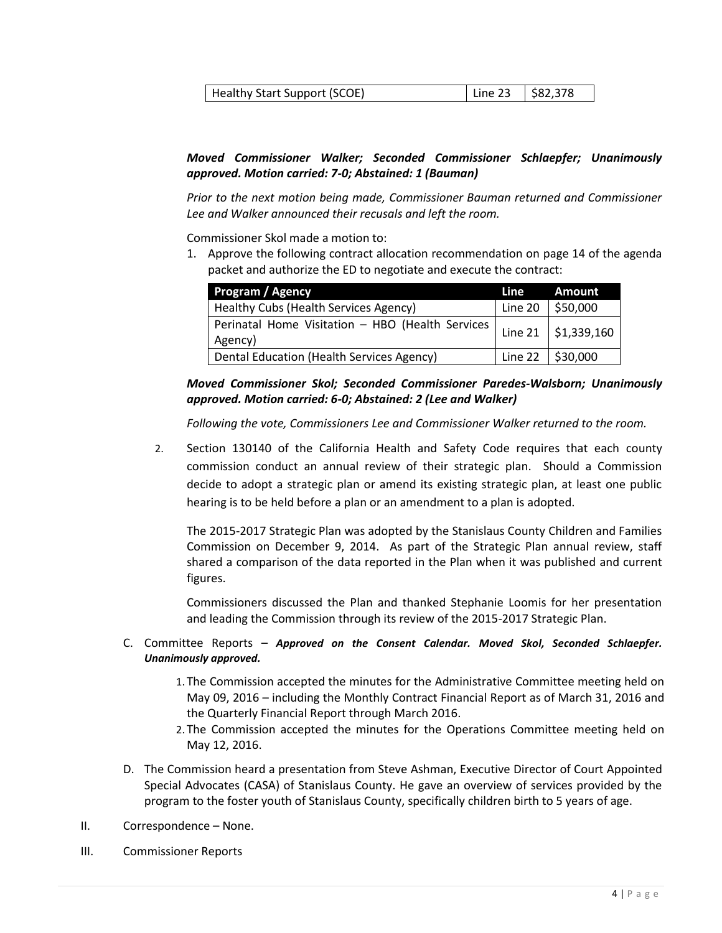| Healthy Start Support (SCOE) | Line 23   \$82,378 |  |
|------------------------------|--------------------|--|
|------------------------------|--------------------|--|

## *Moved Commissioner Walker; Seconded Commissioner Schlaepfer; Unanimously approved. Motion carried: 7-0; Abstained: 1 (Bauman)*

*Prior to the next motion being made, Commissioner Bauman returned and Commissioner Lee and Walker announced their recusals and left the room.*

Commissioner Skol made a motion to:

1. Approve the following contract allocation recommendation on page 14 of the agenda packet and authorize the ED to negotiate and execute the contract:

| Program / Agency                                                                    | Line | <b>Amount</b>                  |
|-------------------------------------------------------------------------------------|------|--------------------------------|
| Healthy Cubs (Health Services Agency)                                               |      | Line 20 $\frac{1}{5}$ \$50,000 |
| Perinatal Home Visitation - HBO (Health Services   Line 21   \$1,339,160<br>Agency) |      |                                |
| Dental Education (Health Services Agency)                                           |      | Line 22 $\frac{1}{2}$ \$30,000 |

*Moved Commissioner Skol; Seconded Commissioner Paredes-Walsborn; Unanimously approved. Motion carried: 6-0; Abstained: 2 (Lee and Walker)*

*Following the vote, Commissioners Lee and Commissioner Walker returned to the room.*

2. Section 130140 of the California Health and Safety Code requires that each county commission conduct an annual review of their strategic plan. Should a Commission decide to adopt a strategic plan or amend its existing strategic plan, at least one public hearing is to be held before a plan or an amendment to a plan is adopted.

The 2015-2017 Strategic Plan was adopted by the Stanislaus County Children and Families Commission on December 9, 2014. As part of the Strategic Plan annual review, staff shared a comparison of the data reported in the Plan when it was published and current figures.

Commissioners discussed the Plan and thanked Stephanie Loomis for her presentation and leading the Commission through its review of the 2015-2017 Strategic Plan.

## C. Committee Reports – *Approved on the Consent Calendar. Moved Skol, Seconded Schlaepfer. Unanimously approved.*

- 1. The Commission accepted the minutes for the Administrative Committee meeting held on May 09, 2016 – including the Monthly Contract Financial Report as of March 31, 2016 and the Quarterly Financial Report through March 2016.
- 2. The Commission accepted the minutes for the Operations Committee meeting held on May 12, 2016.
- D. The Commission heard a presentation from Steve Ashman, Executive Director of Court Appointed Special Advocates (CASA) of Stanislaus County. He gave an overview of services provided by the program to the foster youth of Stanislaus County, specifically children birth to 5 years of age.
- II. Correspondence None.
- III. Commissioner Reports